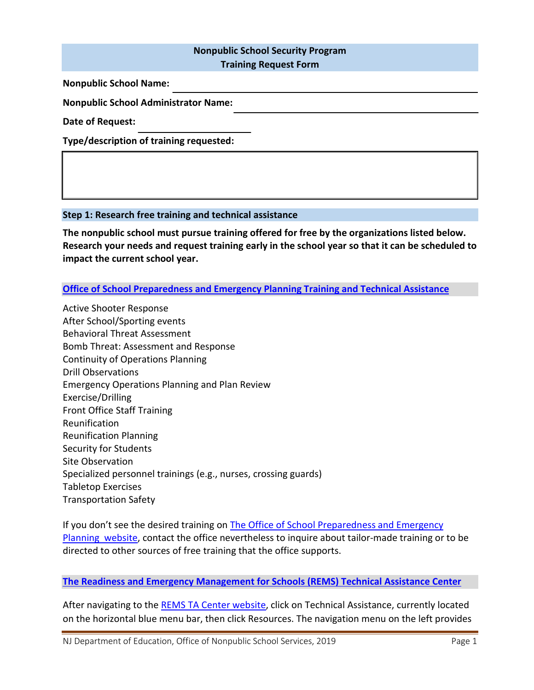# **Nonpublic School Security Program**

**Training Request Form**

**Nonpublic School Name:** 

**Nonpublic School Administrator Name:** 

**Date of Request:** 

**Type/description of training requested:** 

## **Step 1: Research free training and technical assistance**

**The nonpublic school must pursue training offered for free by the organizations listed below. Research your needs and request training early in the school year so that it can be scheduled to impact the current school year.**

## **[Office of School Preparedness and Emergency Planning Training and Technical Assistance](https://www.state.nj.us/education/schools/security/courses/)**

Active Shooter Response After School/Sporting events Behavioral Threat Assessment Bomb Threat: Assessment and Response Continuity of Operations Planning Drill Observations Emergency Operations Planning and Plan Review Exercise/Drilling Front Office Staff Training Reunification Reunification Planning Security for Students Site Observation Specialized personnel trainings (e.g., nurses, crossing guards) Tabletop Exercises Transportation Safety

If you don't see the desired training on The Office of School [Preparedness and Emergency](https://www.state.nj.us/education/schools/security/courses/)  [Planning website,](https://www.state.nj.us/education/schools/security/courses/) contact the office nevertheless to inquire about tailor-made training or to be directed to other sources of free training that the office supports.

## **[The Readiness and Emergency Management for Schools \(REMS\) Technical Assistance Center](https://rems.ed.gov/)**

After navigating to th[e REMS TA Center website,](https://rems.ed.gov/) click on Technical Assistance, currently located on the horizontal blue menu bar, then click Resources. The navigation menu on the left provides